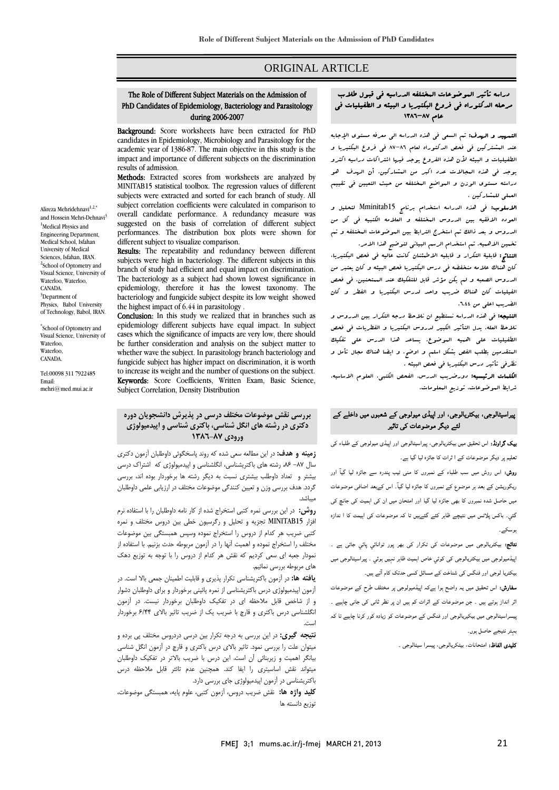# ORIGINAL ARTICLE

# The Role of Different Subject Materials on the Admission of PhD Candidates of Epidemiology, Bacteriology and Parasitology during 2006-2007

Ī  $\overline{a}$ 

Background: Score worksheets have been extracted for PhD candidates in Epidemiology, Microbiology and Parasitology for the impact and importance of different subjects on the discrimination academic year of 1386-87. The main objective in this study is the results of admission.

**MELIOUS:** Extracted scores from worksheets are analyzed by<br>MINITAB15 statistical toolbox. The regression values of different subjects were extracted and sorted for each branch of study. All subject correlation coefficients were calculated in comparison to<br>overall candidate performance. A redundancy measure was suggested on the basis of correlation of different subject performances. The distribution box plots were shown for Methods: Extracted scores from worksheets are analyzed by subject correlation coefficients were calculated in comparison to different subject to visualize comparison.

Results: The repeatability and redundancy between different subjects were high in bacteriology. The different subjects in this<br>broach of study had efficient and equal impact on discrimination The bacteriology as a subject had shown lowest significance in epidemiology, therefore it has the lowest taxonomy. The branch of study had efficient and equal impact on discrimination. bacteriology and fungicide subject despite its low weight showed the highest impact of 6.44 in parasitology .

Conclusion: In this study we realized that in branches such as cases which the significance of impacts are very low, there should be further consideration and analysis on the subject matter to function who are only can in parallelong, station backetining, and to increase its weight and the number of questions on the subject. **Keywords:** Score Coefficients, Written Exam, Basic Science,<br>Subiect Correlation. Density Distribution epidemiology different subjects have equal impact. In subject whether wave the subject. In parasitology branch bacteriology and Subject Correlation, Density Distribution

### **بررسي نقش موضوعات مختلف درسي در پذيرش دانشجويان دوره دكتري در رشته هاي انگل شناسي، باكتري شناسي و اپيدميولوژي ورودي ٨٧-١٣٨٦**

 **زمينه و هدف:** در اين مطالعه سعي شده كه روند پاسخگوئي داوطلبان آزمون دكتري سال ۸۷– ۸۶ رشته های باكتریشناسی، انگلشناسی و اپیدمیولوژی كه اشتراک درسی<br>. Ĩ گردد. هدف بررسی وزن و تعيين كنندگی موضوعات مختلف در ارزيابی علمی داوطلبان<br>مىاشد. بيشتر و تعداد داوطلب بيشتري نسبت به ديگر رشته ها برخوردار بوده اند، بررسي ميباشد.

 **روش:** در اين بررسي نمره كتبي استخراج شده از كار نامه داوطلبان را با استفاده نرم افزار 15MINITAB تجزيه و تحليل و رگرسيون خطي بين دروس مختلف و نمره كتبي ضريب هر كدام از دروس را استخراج نموده وسپس همبستگي بين موضوعات Ï نمودار جعبه اي سعي كرديم كه نقش هر كدام از دروس را با توجه به توزيع دهک<br>هاي مربوطه بررس نمائيم. مختلف را استخراج نموده و اهميت آنها را در آزمون مربوطه حدث بزنيم. با استفاده از هاي مربوطه بررسي نمائيم.

 **يافته ها:** در آزمون باكتريشناسي تكرار پذيري و قابليت اطمينان جمعي بالا است. در آزمون اپيدميولوژي درس باكتريشناسي از نمره پائيني برخوردار و براي داوطلبان دشوار و از شاخص قابل ملاحظه اي در تفكيك داوطلبان برخوردار نيست. در آزمون نگلشناسی درس باكتری و قارچ با ضريب يک از ضريب تاثير بالای ۶/۴۴ برخوردار<br>ست است.

 **نتيجه گيري:** در اين بررسي به درجه تكرار بين درسي دردروس مختلف پي برده و ميتوان علت را بررسي نمود. تاثير بالاي درس باكتري و قارچ در آزمون انگل شناسي بيانگر اهميت و زيربنائي آن است. اين درس با ضريب بالاتر در تفكيك داوطلبان ميتواند نقش اساسيتری را ايفا كند. همچنين عدم تائثر قابل ملاحظه درس<br>بر باكتريشناسي در آزمون اپيدميولوژي جاي بررسي دارد.

 **كليد واژه ها:** نقش ضريب دروس، آزمون كتبي، علوم پايه، همبستگي موضوعات، توزيع دانسته ها

#### دراسه تأثير الموضوعات المختلفه الدراسيه في قبول طلاب ֧֞֜֕֜֜֕ مرحله الدكتوراه في فروع البكتيريا و البيئه و الطفيليات في عام ٨٧-١٣٨٦

Ī  $\overline{a}$ 

ا**لتمهيد و الردف:** تم السعى في هذه الدراسه الي معرفه مستوى الإجابه<br>مستوي هذه كلمة مستوي الإيمان المعرفية الإسلامية من المستوي الإجابه الطفيليات و البيئه لأن هذه الفروع يوجد فيها اشتراكات دراسيه اكثرو يوجد في هذه المجالات عدد اكبر من المشاركين. أن الهدف هو دراسته مستوي الوزن و المواضع المختلفه من حيث التعيين في تقييم العملي للمشاركين . عند المشتركين في فحص الدكتوراه لعام 87-86 في فروع البكتيريا و

ا**لاسلوب:** ف<sub>ی</sub> هذه الدراسه استخدام برنامج Mminitab15 لتحليل و العوده الافقيه بين الدروس المختلفه و العلامه الكتبيه في كل من الدروس و بعد ذالك تم استخرج الترابط بين الموضوعات المختلفه و تم تخمين الاهميه. تم استخدام الرسم البياني لتوضيح هذا الامر.

- سين مستقيمة عم مستقيمة مراجع مبينتي عوضيج مستقيمت مستقيمة.<br>**النتائج:** قابلية التكرار و قابليه الاطمئنان كانت عاليه في فحص البكتيريا، كان هناك علامه منخفضه في درس البكتيريا فحص البيئه و كان يعتبر من الدروس الصعبه و لم يكن مؤشر قابل للتفكيك عند الممتحنين. في فحص الفيليات كان هناك ضريب واحد لدرس البكتيريا و الفطر و كان الضريب اعلي من .6.44

ا**لنتيجه:** ف<sub>ي</sub> هذه الدراسه نستطيع ان نلاحظ درجه التكرار بين الدروس و نلاحظ العله. يدل التأثير الكبير لدروس البكتيريا و الفطريات في فحص المسيبية بطلبي المسيد الفوضوح. وسيد الشكل الذي تصميم الصفيحة المسيد<br>المتقدمين بطلب الفص بشكل اسلم و اوضح. و ايضا هناك مجال تأمل و نظرفي تأثير درس البكتيريا في فحص البيئه . الطفيليات علي اهميه الموضوع. يساعد هذا الدرس علي تفكيك

 الكلمات الرئيسيه: دورضريب الدرس، الفحص الكتبي، العلوم الاساسيه، شرايط الموضوعات، توزيع المعلومات.

## پیراسیٹالوجی، بیکٹریالوجی، اور اپیڈی میولوجی کے شعبوں میں داخلے کے لئے دیگر موضوعات کی تاثیر

 بیک گراونڈ: اس تحقیق میں بیکٹریالوجی، پیراسیٹالوجی اور اپیڈی میولوجی کے طلباء کی تعلیم پر دیگر موضوعات کے ا ثرات کا جائزہ لیا گيا ہے۔

 روش: اس روش میں سب طلباء کے نمبروں کا منی ٹیب پندرہ سے جائزہ لیا گيآ اور ریگوریشن کے بعد ہر موضوع کے نمبروں کا جائزہ لیا گيآ۔ اس کےبعد اضافی موضوعات میں حاصل شدہ نمبروں کا بھی جائزہ لیا گیا اور امتحان میں ان کی اہمیت کی جانچ کی گئي۔ باکس پلاٹس میں نتیچے ظاہر کئے گئےہیں تا کہ موضوعات کی اہیمت کا ا ندازہ ہوسکے۔

 نتائج: بیکٹریالوجی میں موضوعات کی تکرار کی بھر پور توانائي پائي جاتی ہے ۔ اپیڈمیولوجی میں بیکٹریالوجی کی کوئي خاص اہمیت ظاہر نہيں ہوئي ۔ پیراسیٹالوجی میں بیکٹریا لوجی اور فنگس کی شناخت کے مسائل کسی حدتک کام آتے ہیں۔

**سفارش:** اس تحقیق میں یہ واضح ہوا ہےکہ اپیڈمیولوجی پر مختلف طرح کے موضوعات<br>۔ اثر انداز ہوتے ہیں ۔ جن موضوعات کے اثرات کم ہیں ان پر نظر ثانی کی جانی چاہیے ۔ پیسراسیٹالوجی میں بیکیریالوجی اور فنگس کے موضوعات کو زیادہ کور کرنا چاہیے تا کہ بہتر نتیجے حاصل ہوں۔

کلیدی الفاظ: امتحانات، بیٹکریالوجی، پیسرا سیٹالوجی ۔

Alireza Mehridehnavi $1,2,4$ and Hossein Mehri-Dehnavi<sup>3</sup> <sup>1</sup>Medical Physics and Engineering Department, Medical School, Isfahan University of Medical Sciences, Isfahan, IRAN. <sup>2</sup>School of Optometry and Visual Science, University of Waterloo, Waterloo, CANADA. <sup>3</sup>Department of Physics, Babol University of Technology, Babol, IRAN.

\* School of Optometry and Visual Science, University of Waterloo, Waterloo, CANADA.

Tel:00098 311 7922485 Email: mehri@med.mui.ac.ir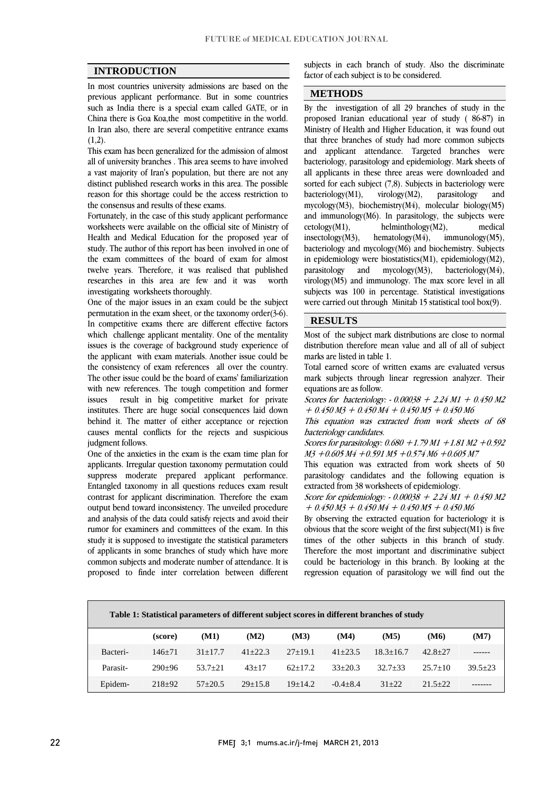$\overline{a}$ 

### **INTRODUCTION**

 In most countries university admissions are based on the previous applicant performance. But in some countries Such as more is a special exam cancel OATE, or in<br>China there is Goa Koa,the most competitive in the world. In Iran also, there are several competitive entrance exams such as India there is a special exam called GATE, or in  $(1,2)$ .

 This exam has been generalized for the admission of almost a vast majority of Iran's population, but there are not any distinct published research works in this area. The possible reason for this shortage could be the access restriction to all of university branches . This area seems to have involved the consensus and results of these exams.

the consensus and results of these exams.<br>Fortunately, in the case of this study applicant performance worksheets were available on the official site of Ministry of Health and Medical Education for the proposed year of study. The author of this report has been involved in one of the exam committees of the board of exam for almost worth twelve years. Therefore, it was realised that published researches in this area are few and it was investigating worksheets thoroughly.

 One of the major issues in an exam could be the subject In competitive exams there are different effective factors which challenge applicant mentality. One of the mentality issues is the coverage of background study experience of the applicant with exam materials. Another issue could be The other issue could be the board of exams' familiarization with new references. The tough competition and former issues result in big competitive market for private institutes. There are huge social consequences laid down causes mental conflicts for the rejects and suspicious permutation in the exam sheet, or the taxonomy order(3-6). the consistency of exam references all over the country. behind it. The matter of either acceptance or rejection judgment follows.

 One of the anxieties in the exam is the exam time plan for applicants. Irregular question taxonomy permutation could Entangled taxonomy in all questions reduces exam result contrast for applicant discrimination. Therefore the exam output bend toward inconsistency. The unveiled procedure and analysis of the data could satisfy rejects and avoid their<br>rumor for examiners and committees of the exam. In this study it is supposed to investigate the statistical parameters of applicants in some branches of study which have more common subjects and moderate number of attendance. It is proposed to finde inter correlation between different suppress moderate prepared applicant performance. and analysis of the data could satisfy rejects and avoid their subjects in each branch of study. Also the discriminate factor of each subject is to be considered.

j

# **METHODS**

By the investigation of all 29 branches of study in the proposed Iranian educational year of study ( 86-87) in Ministry of Health and Higher Education, it was found out that three branches of study had more common subjects and applicant attendance. Targeted branches were all applicants in these three areas were downloaded and sorted for each subject (7,8). Subjects in bacteriology were and  $m$ ycology( $m$ 5), biochemistry( $m$ 4), molecular biology( $m$ 5)<br>and immunology( $M$ 6). In parasitology, the subjects were medical  $immunology(M5)$ , bacteriology and mycology(M6) and biochemistry. Subjects m ephermology were biostalistics  $(m_1)$ , ephermology  $(m_2)$ , parasitology and mycology  $(M_2)$ , virology $(M5)$  and immunology. The max score level in all subjects was 100 in percentage. Statistical investigations were carried out through Minitab 15 statistical tool box(9). bacteriology, parasitology and epidemiology. Mark sheets of  $bacteriology(M1),$  virology $(M2),$  parasitology mycology(M3), biochemistry(M4), molecular biology(M5)  $cetologv(M1)$ , helminthology $(M2)$ ,  $insectology(M3), \text{hematology}(M4),$ in epidemiology were biostatistics(M1), epidemiology(M2),

### **RESULTS**

 Most of the subject mark distributions are close to normal distribution therefore mean value and all of all of subject marks are listed in table 1.

marks are iisted in tabie 1.<br>Total earned score of written exams are evaluated versus mark subjects through linear regression analyzer. Their equations are as follow.

 Scores for bacteriology: - 0.00038 + 2.24 M1 + 0.450 M2  $+ 0.450 M3 + 0.450 M4 + 0.450 M5 + 0.450 M6$ 

 $\overline{\phantom{0}}$  This equation was extracted from work sheets of 68 bacteriology candidates.

 Scores for parasitology: 0.680 +1.79 M1 +1.81 M2 +0.592 M3 +0.605 M4 +0.591 M5 +0.574 M6 +0.605 M7

This equation was extracted from work sheets of 50<br>nonseitalagy condidates and the following constitution parasitology candidates and the following equation is extracted from 38 worksheets of epidemiology.

 Score for epidemiology: - 0.00038 + 2.24 M1 + 0.450 M2  $+ 0.450 M3 + 0.450 M4 + 0.450 M5 + 0.450 M6$ 

by observing the extracted equation for bacteriology it is<br>obvious that the score weight of the first subject(M1) is five times of the other subjects in this branch of study. Therefore the most important and discriminative subject could be bacteriology in this branch. By looking at the regression equation of parasitology we will find out the By observing the extracted equation for bacteriology it is

| Table 1: Statistical parameters of different subject scores in different branches of study |            |             |             |           |              |               |                   |             |  |  |
|--------------------------------------------------------------------------------------------|------------|-------------|-------------|-----------|--------------|---------------|-------------------|-------------|--|--|
|                                                                                            | (score)    | (M1)        | (M2)        | (M3)      | (M4)         | (M5)          | (M <sub>6</sub> ) | (M7)        |  |  |
| Bacteri-                                                                                   | $146 + 71$ | $31+17.7$   | $41 + 22.3$ | $27+19.1$ | $41 + 23.5$  | $18.3 + 16.7$ | $42.8 + 27$       |             |  |  |
| Parasit-                                                                                   | $290+96$   | $53.7 + 21$ | $43+17$     | $62+17.2$ | $33+20.3$    | $32.7 + 33$   | $25.7 + 10$       | $39.5 + 23$ |  |  |
| Epidem-                                                                                    | $218+92$   | $57+20.5$   | $29+15.8$   | $19+14.2$ | $-0.4 + 8.4$ | $31 + 22$     | $21.5 + 22$       |             |  |  |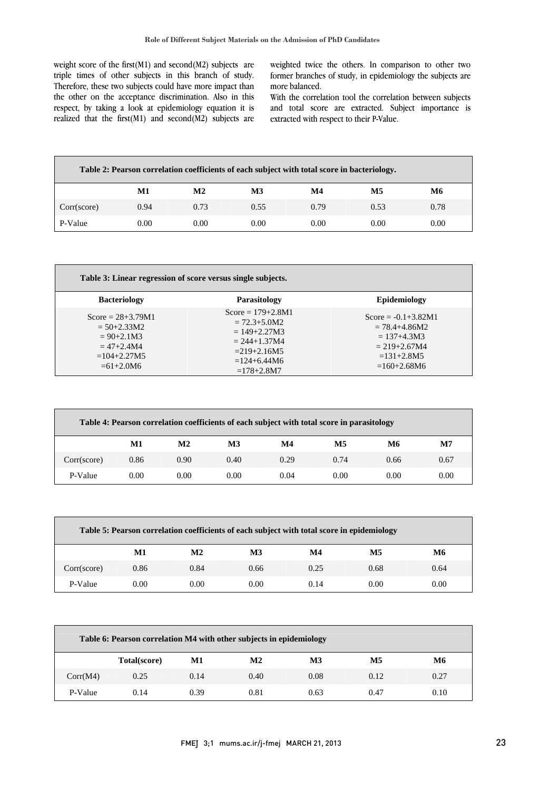weight score of the first(M1) and second(M2) subjects are triple times of other subjects in this branch of study. Therefore, these two subjects could have more impact than the other on the acceptance discrimination. Also in this respect, by taking a look at epitemology equation it is<br>realized that the first(M1) and second(M2) subjects are respect, by taking a look at epidemiology equation it is

 weighted twice the others. In comparison to other two former branches of study, in epidemiology the subjects are more balanced.

 With the correlation tool the correlation between subjects and total score are extracted. Subject importance is<br>extracted with reconset to their P Value extracted with respect to their P-Value.

| Table 2: Pearson correlation coefficients of each subject with total score in bacteriology. |      |               |      |      |      |      |  |  |
|---------------------------------------------------------------------------------------------|------|---------------|------|------|------|------|--|--|
|                                                                                             | M1   | $\mathbf{M2}$ | M3   | M4   | M5   | M6   |  |  |
| Corr(score)                                                                                 | 0.94 | 0.73          | 0.55 | 0.79 | 0.53 | 0.78 |  |  |
| P-Value                                                                                     | 0.00 | 0.00          | 0.00 | 0.00 | 0.00 | 0.00 |  |  |

| Table 3: Linear regression of score versus single subjects.                                                   |                                                                                                                                         |                                                                                                                     |  |  |  |  |
|---------------------------------------------------------------------------------------------------------------|-----------------------------------------------------------------------------------------------------------------------------------------|---------------------------------------------------------------------------------------------------------------------|--|--|--|--|
| <b>Bacteriology</b>                                                                                           | <b>Parasitology</b>                                                                                                                     | <b>Epidemiology</b>                                                                                                 |  |  |  |  |
| Score = $28+3.79M1$<br>$= 50 + 2.33 M2$<br>$= 90 + 2.1 M3$<br>$= 47 + 2.4 M4$<br>$=104+2.27M5$<br>$=61+2.0M6$ | Score = $179+2.8M1$<br>$= 72.3 + 5.0 M2$<br>$= 149 + 2.27 M3$<br>$= 244 + 1.37 M4$<br>$= 219 + 2.16M5$<br>$=124+6.44M6$<br>$=178+2.8M7$ | Score = $-0.1+3.82M1$<br>$= 78.4 + 4.86 M2$<br>$= 137 + 4.3M3$<br>$= 219 + 2.67M4$<br>$=131+2.8M5$<br>$=160+2.68M6$ |  |  |  |  |

| Table 4: Pearson correlation coefficients of each subject with total score in parasitology |      |                |      |      |      |      |              |  |  |
|--------------------------------------------------------------------------------------------|------|----------------|------|------|------|------|--------------|--|--|
|                                                                                            | M1   | M <sub>2</sub> | M3   | M4   | M5   | M6   | $\mathbf{M}$ |  |  |
| Corr(score)                                                                                | 0.86 | 0.90           | 0.40 | 0.29 | 0.74 | 0.66 | 0.67         |  |  |
| P-Value                                                                                    | 0.00 | 0.00           | 0.00 | 0.04 | 0.00 | 0.00 | 0.00         |  |  |

| Table 5: Pearson correlation coefficients of each subject with total score in epidemiology |      |               |      |      |      |      |  |  |
|--------------------------------------------------------------------------------------------|------|---------------|------|------|------|------|--|--|
|                                                                                            | М1   | $\mathbf{M2}$ | M3   | M4   | M5   | М6   |  |  |
| Corr(score)                                                                                | 0.86 | 0.84          | 0.66 | 0.25 | 0.68 | 0.64 |  |  |
| P-Value                                                                                    | 0.00 | 0.00          | 0.00 | 0.14 | 0.00 | 0.00 |  |  |

| Table 6: Pearson correlation M4 with other subjects in epidemiology |              |      |                |           |               |           |  |
|---------------------------------------------------------------------|--------------|------|----------------|-----------|---------------|-----------|--|
|                                                                     | Total(score) | M1   | M <sub>2</sub> | <b>M3</b> | $\mathbf{M5}$ | <b>M6</b> |  |
| Corr(M4)                                                            | 0.25         | 0.14 | 0.40           | 0.08      | 0.12          | 0.27      |  |
| P-Value                                                             | 0.14         | 0.39 | 0.81           | 0.63      | 0.47          | 0.10      |  |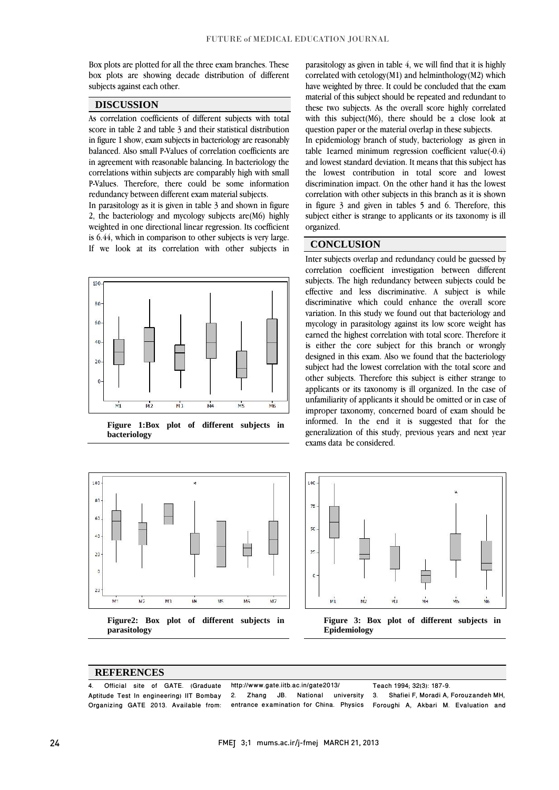Box plots are plotted for all the three exam branches. These box plots are showing decade distribution of different subjects against each other.

### **DISCUSSION**

As correlation coefficients of different subjects with total score in table 2 and table 3 and their statistical distribution in figure 1 show, exam subjects in bacteriology are reasonably balanced. Also small P-Values of correlation coefficients are in agreement with reasonable balancing. In bacteriology the correlations within subjects are comparably high with small P-Values. Therefore, there could be some information redundancy between different exam material subjects.

In parasitology as it is given in table 3 and shown in figure 2, the bacteriology and mycology subjects are(M6) highly weighted in one directional linear regression. Its coefficient is 6.44, which in comparison to other subjects is very large. If we look at its correlation with other subjects in



**Figure 1:Box plot of different subjects in bacteriology**



**Figure2: Box plot of different subjects in parasitology**

parasitology as given in table 4, we will find that it is highly correlated with  $cetolog<sub>V</sub>(M1)$  and helminthology $(M2)$  which have weighted by three. It could be concluded that the exam material of this subject should be repeated and redundant to these two subjects. As the overall score highly correlated with this subject(M6), there should be a close look at question paper or the material overlap in these subjects.

In epidemiology branch of study, bacteriology as given in table 1earned minimum regression coefficient value(-0.4) and lowest standard deviation. It means that this subject has the lowest contribution in total score and lowest discrimination impact. On the other hand it has the lowest correlation with other subjects in this branch as it is shown in figure 3 and given in tables 5 and 6. Therefore, this subject either is strange to applicants or its taxonomy is ill organized.

### **CONCLUSION**

Inter subjects overlap and redundancy could be guessed by correlation coefficient investigation between different subjects. The high redundancy between subjects could be effective and less discriminative. A subject is while discriminative which could enhance the overall score variation. In this study we found out that bacteriology and mycology in parasitology against its low score weight has earned the highest correlation with total score. Therefore it is either the core subject for this branch or wrongly designed in this exam. Also we found that the bacteriology subject had the lowest correlation with the total score and other subjects. Therefore this subject is either strange to applicants or its taxonomy is ill organized. In the case of unfamiliarity of applicants it should be omitted or in case of improper taxonomy, concerned board of exam should be informed. In the end it is suggested that for the generalization of this study, previous years and next year exams data be considered.



**Epidemiology**

#### **REFERENCES**

<sup>4.</sup> Official site of GATE. (Graduate http://www.community.community.community.community.community.community.community.community.community.community.community.community.community.community.community.community.community.commu Aptitude Test In engineering) IIT Bombay Organizing GATE 2013. Available from: http://www.gate.iitb.ac.in/gate2013/ Zhang JB. National university 3. entrance examination for China. Physics Teach 1994; 32(3): 187-9. 3. Shafiei F, Moradi A, Forouzandeh MH, Foroughi A, Akbari M. Evaluation and